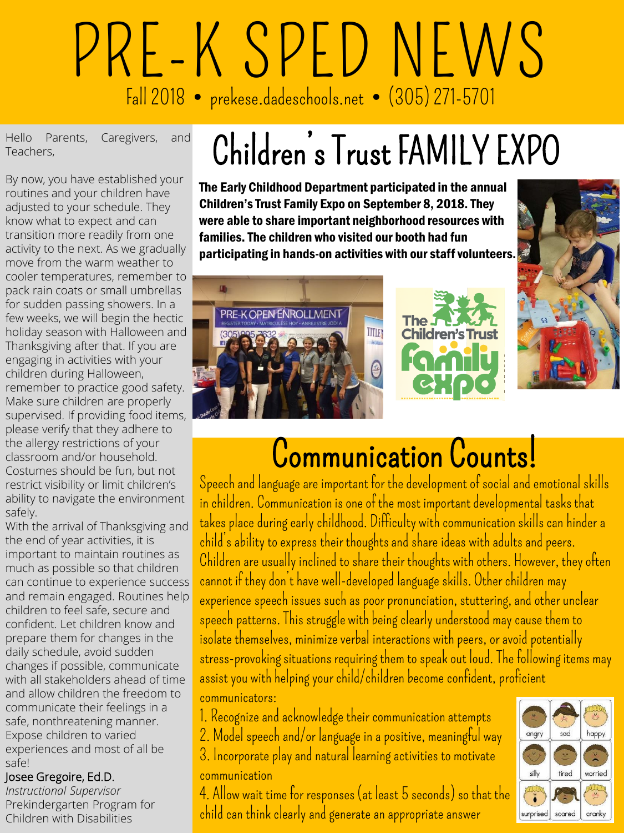# PRE-K SPED NEWS Fall 2018 prekese.dadeschools.net (305) 271-5701

Hello Parents, Caregivers, and<br>Teachers, Teachers,

By now, you have established your routines and your children have adjusted to your schedule. They know what to expect and can transition more readily from one activity to the next. As we gradually move from the warm weather to cooler temperatures, remember to pack rain coats or small umbrellas for sudden passing showers. In a few weeks, we will begin the hectic holiday season with Halloween and Thanksgiving after that. If you are engaging in activities with your children during Halloween, remember to practice good safety. Make sure children are properly supervised. If providing food items, please verify that they adhere to the allergy restrictions of your classroom and/or household. Costumes should be fun, but not restrict visibility or limit children's ability to navigate the environment safely.

With the arrival of Thanksgiving and the end of year activities, it is important to maintain routines as much as possible so that children can continue to experience success and remain engaged. Routines help children to feel safe, secure and confident. Let children know and prepare them for changes in the daily schedule, avoid sudden changes if possible, communicate with all stakeholders ahead of time and allow children the freedom to communicate their feelings in a safe, nonthreatening manner. Expose children to varied experiences and most of all be safe!

#### Josee Gregoire, Ed.D.

*Instructional Supervisor* Prekindergarten Program for Children with Disabilities

# Children's Trust FAMILY EXPO

The Early Childhood Department participated in the annual Children's Trust Family Expo on September 8, 2018. They were able to share important neighborhood resources with families. The children who visited our booth had fun participating in hands-on activities with our staff volunteers.



PRE-K OPEN ENROLLMENT **TITLET** 



## Communication Counts!

Speech and language are important for the development of social and emotional skills in children. Communication is one of the most important developmental tasks that takes place during early childhood. Difficulty with communication skills can hinder a child's ability to express their thoughts and share ideas with adults and peers. Children are usually inclined to share their thoughts with others. However, they often cannot if they don't have well-developed language skills. Other children may experience speech issues such as poor pronunciation, stuttering, and other unclear speech patterns. This struggle with being clearly understood may cause them to isolate themselves, minimize verbal interactions with peers, or avoid potentially stress-provoking situations requiring them to speak out loud. The following items may assist you with helping your child/children become confident, proficient communicators:

- 1. Recognize and acknowledge their communication attempts
- 2. Model speech and/or language in a positive, meaningful way
- 3. Incorporate play and natural learning activities to motivate

#### communication

4. Allow wait time for responses (at least 5 seconds) so that the child can think clearly and generate an appropriate answer